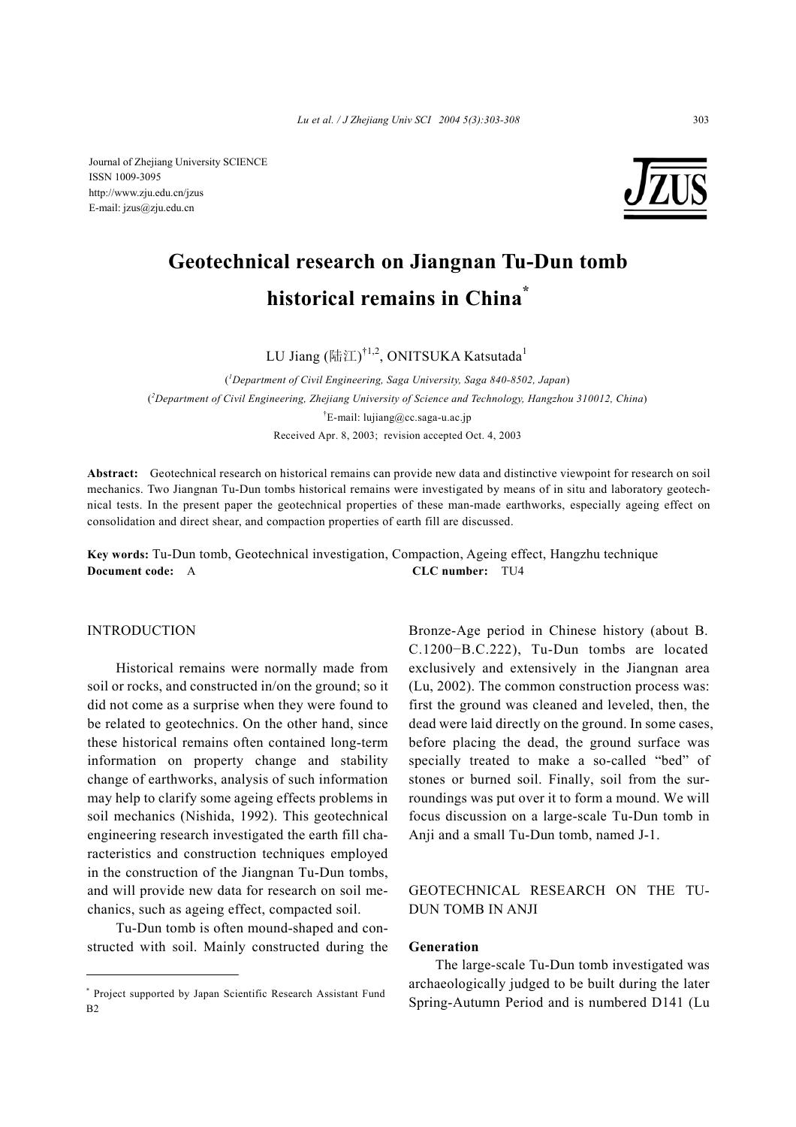Journal of Zhejiang University SCIENCE ISSN 1009-3095 http://www.zju.edu.cn/jzus E-mail: jzus@zju.edu.cn



# **Geotechnical research on Jiangnan Tu-Dun tomb historical remains in China\***

LU Jiang (陆江) $^{\dagger1,2}$ , ONITSUKA Katsutada $^1$ 

( *1 Department of Civil Engineering, Saga University, Saga 840-8502, Japan*) ( *2 Department of Civil Engineering, Zhejiang University of Science and Technology, Hangzhou 310012, China*) † E-mail: lujiang@cc.saga-u.ac.jp Received Apr. 8, 2003; revision accepted Oct. 4, 2003

**Abstract:** Geotechnical research on historical remains can provide new data and distinctive viewpoint for research on soil mechanics. Two Jiangnan Tu-Dun tombs historical remains were investigated by means of in situ and laboratory geotechnical tests. In the present paper the geotechnical properties of these man-made earthworks, especially ageing effect on consolidation and direct shear, and compaction properties of earth fill are discussed.

**Key words:** Tu-Dun tomb, Geotechnical investigation, Compaction, Ageing effect, Hangzhu technique **Document code:** A **CLC number:** TU4

## INTRODUCTION

Historical remains were normally made from soil or rocks, and constructed in/on the ground; so it did not come as a surprise when they were found to be related to geotechnics. On the other hand, since these historical remains often contained long-term information on property change and stability change of earthworks, analysis of such information may help to clarify some ageing effects problems in soil mechanics (Nishida, 1992). This geotechnical engineering research investigated the earth fill characteristics and construction techniques employed in the construction of the Jiangnan Tu-Dun tombs, and will provide new data for research on soil mechanics, such as ageing effect, compacted soil.

Tu-Dun tomb is often mound-shaped and constructed with soil. Mainly constructed during the Bronze-Age period in Chinese history (about B. C.1200−B.C.222), Tu-Dun tombs are located exclusively and extensively in the Jiangnan area (Lu, 2002). The common construction process was: first the ground was cleaned and leveled, then, the dead were laid directly on the ground. In some cases, before placing the dead, the ground surface was specially treated to make a so-called "bed" of stones or burned soil. Finally, soil from the surroundings was put over it to form a mound. We will focus discussion on a large-scale Tu-Dun tomb in Anji and a small Tu-Dun tomb, named J-1.

# GEOTECHNICAL RESEARCH ON THE TU-DUN TOMB IN ANJI

# **Generation**

The large-scale Tu-Dun tomb investigated was archaeologically judged to be built during the later Spring-Autumn Period and is numbered D141 (Lu

<sup>\*</sup> Project supported by Japan Scientific Research Assistant Fund  $B<sub>2</sub>$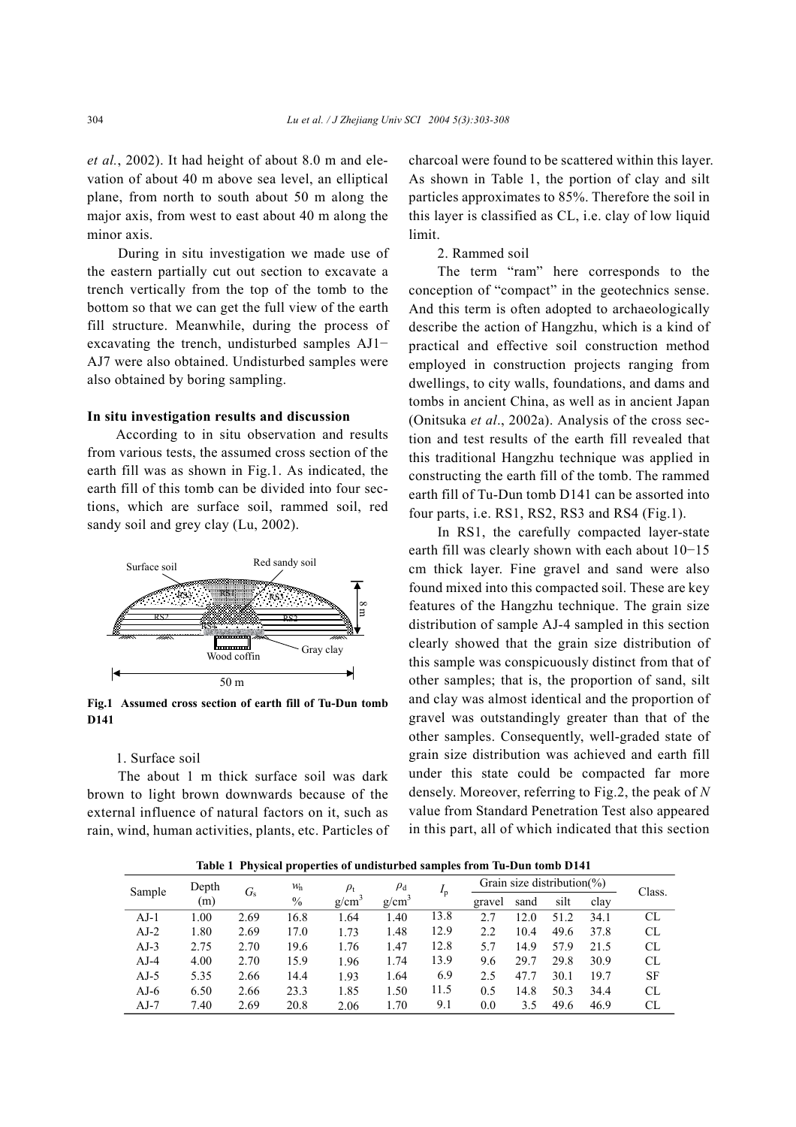*et al.*, 2002). It had height of about 8.0 m and elevation of about 40 m above sea level, an elliptical plane, from north to south about 50 m along the major axis, from west to east about 40 m along the minor axis.

During in situ investigation we made use of the eastern partially cut out section to excavate a trench vertically from the top of the tomb to the bottom so that we can get the full view of the earth fill structure. Meanwhile, during the process of excavating the trench, undisturbed samples AJ1− AJ7 were also obtained. Undisturbed samples were also obtained by boring sampling.

## **In situ investigation results and discussion**

According to in situ observation and results from various tests, the assumed cross section of the earth fill was as shown in Fig.1. As indicated, the earth fill of this tomb can be divided into four sections, which are surface soil, rammed soil, red sandy soil and grey clay (Lu, 2002).



**Fig.1 Assumed cross section of earth fill of Tu-Dun tomb D141**

## 1. Surface soil

The about 1 m thick surface soil was dark brown to light brown downwards because of the external influence of natural factors on it, such as rain, wind, human activities, plants, etc. Particles of charcoal were found to be scattered within this layer. As shown in Table 1, the portion of clay and silt particles approximates to 85%. Therefore the soil in this layer is classified as CL, i.e. clay of low liquid limit.

## 2. Rammed soil

The term "ram" here corresponds to the conception of "compact" in the geotechnics sense. And this term is often adopted to archaeologically describe the action of Hangzhu, which is a kind of practical and effective soil construction method employed in construction projects ranging from dwellings, to city walls, foundations, and dams and tombs in ancient China, as well as in ancient Japan (Onitsuka *et al*., 2002a). Analysis of the cross section and test results of the earth fill revealed that this traditional Hangzhu technique was applied in constructing the earth fill of the tomb. The rammed earth fill of Tu-Dun tomb D141 can be assorted into four parts, i.e. RS1, RS2, RS3 and RS4 (Fig.1).

In RS1, the carefully compacted layer-state earth fill was clearly shown with each about 10−15 cm thick layer. Fine gravel and sand were also found mixed into this compacted soil. These are key features of the Hangzhu technique. The grain size distribution of sample AJ-4 sampled in this section clearly showed that the grain size distribution of this sample was conspicuously distinct from that of other samples; that is, the proportion of sand, silt and clay was almost identical and the proportion of gravel was outstandingly greater than that of the other samples. Consequently, well-graded state of grain size distribution was achieved and earth fill under this state could be compacted far more densely. Moreover, referring to Fig.2, the peak of *N* value from Standard Penetration Test also appeared in this part, all of which indicated that this section

**Table 1 Physical properties of undisturbed samples from Tu-Dun tomb D141** 

| Sample | Depth | $G_{\rm s}$ | $W_{\rm n}$   | $\rho_{\rm t}$ | $\rho_{\rm d}$    | $I_{\rm p}$ | Grain size distribution( $\%$ ) |      |      |      | Class.    |
|--------|-------|-------------|---------------|----------------|-------------------|-------------|---------------------------------|------|------|------|-----------|
|        | (m)   |             | $\frac{0}{0}$ | g/cm           | g/cm <sup>3</sup> |             | gravel                          | sand | silt | clay |           |
| $AJ-1$ | 1.00  | 2.69        | 16.8          | 1.64           | 1.40              | 13.8        | 2.7                             | 12.0 | 51.2 | 34.1 | CL        |
| $AJ-2$ | 1.80  | 2.69        | 17.0          | 1.73           | 1.48              | 12.9        | 2.2                             | 10.4 | 49.6 | 37.8 | CL        |
| $AJ-3$ | 2.75  | 2.70        | 19.6          | 1.76           | 1.47              | 12.8        | 5.7                             | 14.9 | 57.9 | 21.5 | CL        |
| $AJ-4$ | 4.00  | 2.70        | 15.9          | 1.96           | 1.74              | 13.9        | 9.6                             | 29.7 | 29.8 | 30.9 | CL        |
| $AJ-5$ | 5.35  | 2.66        | 14.4          | 1.93           | 1.64              | 6.9         | 2.5                             | 47.7 | 30.1 | 19.7 | <b>SF</b> |
| $AJ-6$ | 6.50  | 2.66        | 23.3          | 1.85           | 1.50              | 11.5        | 0.5                             | 14.8 | 50.3 | 34.4 | CL        |
| $AJ-7$ | 7.40  | 2.69        | 20.8          | 2.06           | 1.70              | 9.1         | 0.0                             | 3.5  | 49.6 | 46.9 | CL        |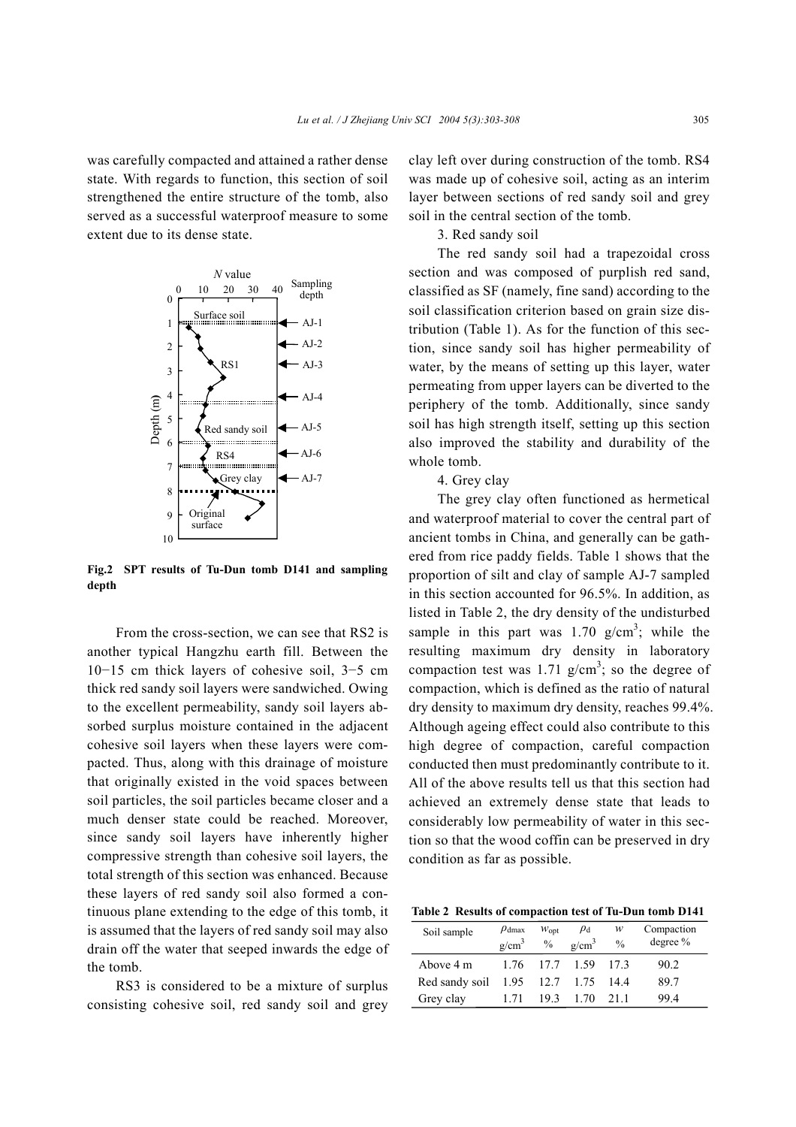was carefully compacted and attained a rather dense state. With regards to function, this section of soil strengthened the entire structure of the tomb, also served as a successful waterproof measure to some extent due to its dense state.



**Fig.2 SPT results of Tu-Dun tomb D141 and sampling depth**

From the cross-section, we can see that RS2 is another typical Hangzhu earth fill. Between the 10−15 cm thick layers of cohesive soil, 3−5 cm thick red sandy soil layers were sandwiched. Owing to the excellent permeability, sandy soil layers absorbed surplus moisture contained in the adjacent cohesive soil layers when these layers were compacted. Thus, along with this drainage of moisture that originally existed in the void spaces between soil particles, the soil particles became closer and a much denser state could be reached. Moreover, since sandy soil layers have inherently higher compressive strength than cohesive soil layers, the total strength of this section was enhanced. Because these layers of red sandy soil also formed a continuous plane extending to the edge of this tomb, it is assumed that the layers of red sandy soil may also drain off the water that seeped inwards the edge of the tomb.

RS3 is considered to be a mixture of surplus consisting cohesive soil, red sandy soil and grey clay left over during construction of the tomb. RS4 was made up of cohesive soil, acting as an interim layer between sections of red sandy soil and grey soil in the central section of the tomb.

## 3. Red sandy soil

The red sandy soil had a trapezoidal cross section and was composed of purplish red sand, classified as SF (namely, fine sand) according to the soil classification criterion based on grain size distribution (Table 1). As for the function of this section, since sandy soil has higher permeability of water, by the means of setting up this layer, water permeating from upper layers can be diverted to the periphery of the tomb. Additionally, since sandy soil has high strength itself, setting up this section also improved the stability and durability of the whole tomb.

4. Grey clay

The grey clay often functioned as hermetical and waterproof material to cover the central part of ancient tombs in China, and generally can be gathered from rice paddy fields. Table 1 shows that the proportion of silt and clay of sample AJ-7 sampled in this section accounted for 96.5%. In addition, as listed in Table 2, the dry density of the undisturbed sample in this part was  $1.70 \text{ g/cm}^3$ ; while the resulting maximum dry density in laboratory compaction test was 1.71  $g/cm^3$ ; so the degree of compaction, which is defined as the ratio of natural dry density to maximum dry density, reaches 99.4%. Although ageing effect could also contribute to this high degree of compaction, careful compaction conducted then must predominantly contribute to it. All of the above results tell us that this section had achieved an extremely dense state that leads to considerably low permeability of water in this section so that the wood coffin can be preserved in dry condition as far as possible.

**Table 2 Results of compaction test of Tu-Dun tomb D141**

| Soil sample    | $\rho_{\text{dmax}}$<br>g/cm <sup>3</sup> | $W_{\text{opt}}$<br>$\frac{0}{0}$ | $\rho_{\rm d}$<br>$g/cm^3$ | w<br>$\frac{0}{0}$ | Compaction<br>degree % |
|----------------|-------------------------------------------|-----------------------------------|----------------------------|--------------------|------------------------|
| Above 4 m      |                                           | 1.76 17.7 1.59                    |                            | 173                | 90.2                   |
| Red sandy soil | 1.95                                      | 12.7 1.75                         |                            | 14.4               | 89.7                   |
| Grey clay      | 171                                       | 193                               | 1 70                       | 21 1               | 994                    |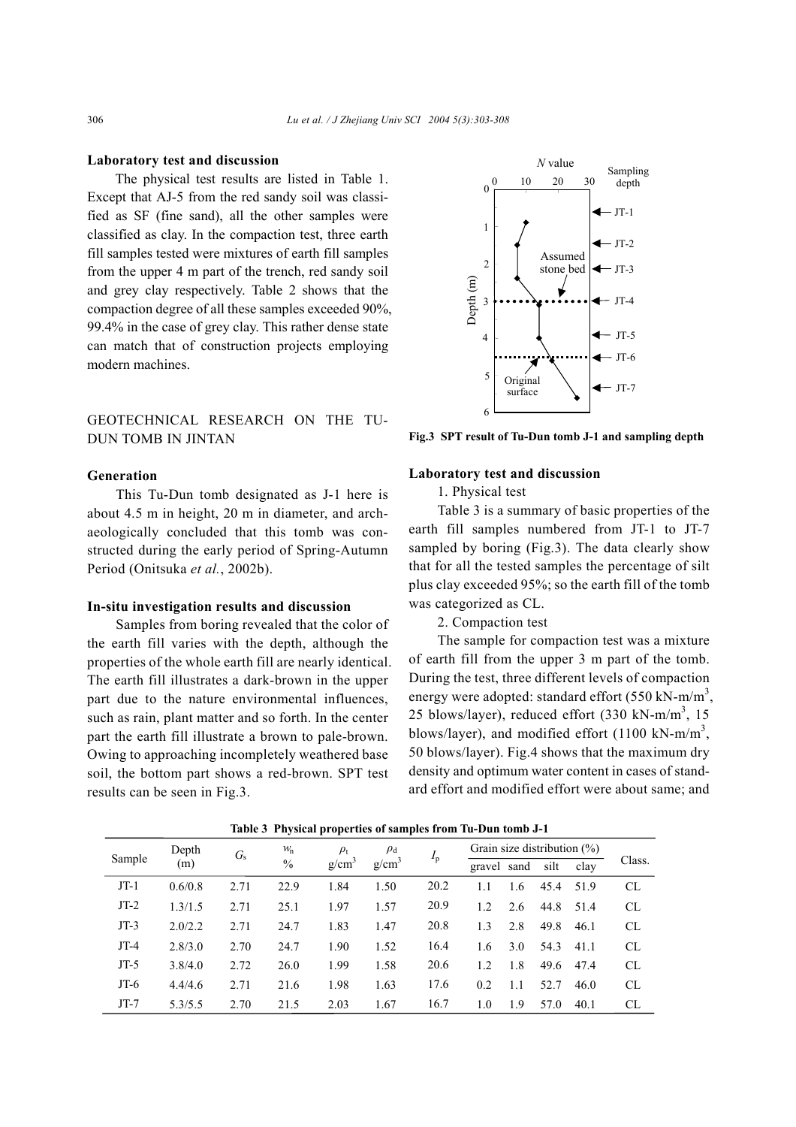### **Laboratory test and discussion**

The physical test results are listed in Table 1. Except that AJ-5 from the red sandy soil was classified as SF (fine sand), all the other samples were classified as clay. In the compaction test, three earth fill samples tested were mixtures of earth fill samples from the upper 4 m part of the trench, red sandy soil and grey clay respectively. Table 2 shows that the compaction degree of all these samples exceeded 90%, 99.4% in the case of grey clay. This rather dense state can match that of construction projects employing modern machines.

# GEOTECHNICAL RESEARCH ON THE TU-DUN TOMB IN JINTAN

## **Generation**

This Tu-Dun tomb designated as J-1 here is about 4.5 m in height, 20 m in diameter, and archaeologically concluded that this tomb was constructed during the early period of Spring-Autumn Period (Onitsuka *et al.*, 2002b).

## **In-situ investigation results and discussion**

Samples from boring revealed that the color of the earth fill varies with the depth, although the properties of the whole earth fill are nearly identical. The earth fill illustrates a dark-brown in the upper part due to the nature environmental influences, such as rain, plant matter and so forth. In the center part the earth fill illustrate a brown to pale-brown. Owing to approaching incompletely weathered base soil, the bottom part shows a red-brown. SPT test results can be seen in Fig.3.



**Fig.3 SPT result of Tu-Dun tomb J-1 and sampling depth**

## **Laboratory test and discussion**

1. Physical test

Table 3 is a summary of basic properties of the earth fill samples numbered from JT-1 to JT-7 sampled by boring (Fig.3). The data clearly show that for all the tested samples the percentage of silt plus clay exceeded 95%; so the earth fill of the tomb was categorized as CL.

## 2. Compaction test

The sample for compaction test was a mixture of earth fill from the upper 3 m part of the tomb. During the test, three different levels of compaction energy were adopted: standard effort (550 kN-m/m<sup>3</sup>, 25 blows/layer), reduced effort  $(330 \text{ kN-m/m}^3, 15 \text{ m})$ blows/layer), and modified effort (1100 kN-m/m<sup>3</sup>, 50 blows/layer). Fig.4 shows that the maximum dry density and optimum water content in cases of standard effort and modified effort were about same; and

| Sample | Depth<br>(m) | $G_s$ | W <sub>n</sub> | $\rho_{\rm t}$    | $\rho_{\rm d}$ |             | Grain size distribution $(\%)$ |      |      |      |           |
|--------|--------------|-------|----------------|-------------------|----------------|-------------|--------------------------------|------|------|------|-----------|
|        |              |       | $\frac{0}{0}$  | g/cm <sup>3</sup> | $g/cm^{3}$     | $I_{\rm p}$ | gravel                         | sand | silt | clay | Class.    |
| $JT-1$ | 0.6/0.8      | 2.71  | 22.9           | 1.84              | 1.50           | 20.2        | 1.1                            | 1.6  | 45.4 | 51.9 | CL        |
| $JT-2$ | 1.3/1.5      | 2.71  | 25.1           | 1.97              | 1.57           | 20.9        | 1.2                            | 2.6  | 44.8 | 51.4 | <b>CL</b> |
| $JT-3$ | 2.0/2.2      | 2.71  | 24.7           | 1.83              | 1.47           | 20.8        | 1.3                            | 2.8  | 49.8 | 46.1 | CL        |
| $JT-4$ | 2.8/3.0      | 2.70  | 24.7           | 1.90              | 1.52           | 16.4        | 1.6                            | 3.0  | 54.3 | 41.1 | <b>CL</b> |
| $JT-5$ | 3.8/4.0      | 2.72  | 26.0           | 1.99              | 1.58           | 20.6        | 1.2                            | 1.8  | 49.6 | 47.4 | CL        |
| $JT-6$ | 4.4/4.6      | 2.71  | 21.6           | 1.98              | 1.63           | 17.6        | 0.2                            | 1.1  | 52.7 | 46.0 | CL        |
| $JT-7$ | 5.3/5.5      | 2.70  | 21.5           | 2.03              | 1.67           | 16.7        | 1.0                            | 1.9  | 57.0 | 40.1 | <b>CL</b> |

**Table 3 Physical properties of samples from Tu-Dun tomb J-1**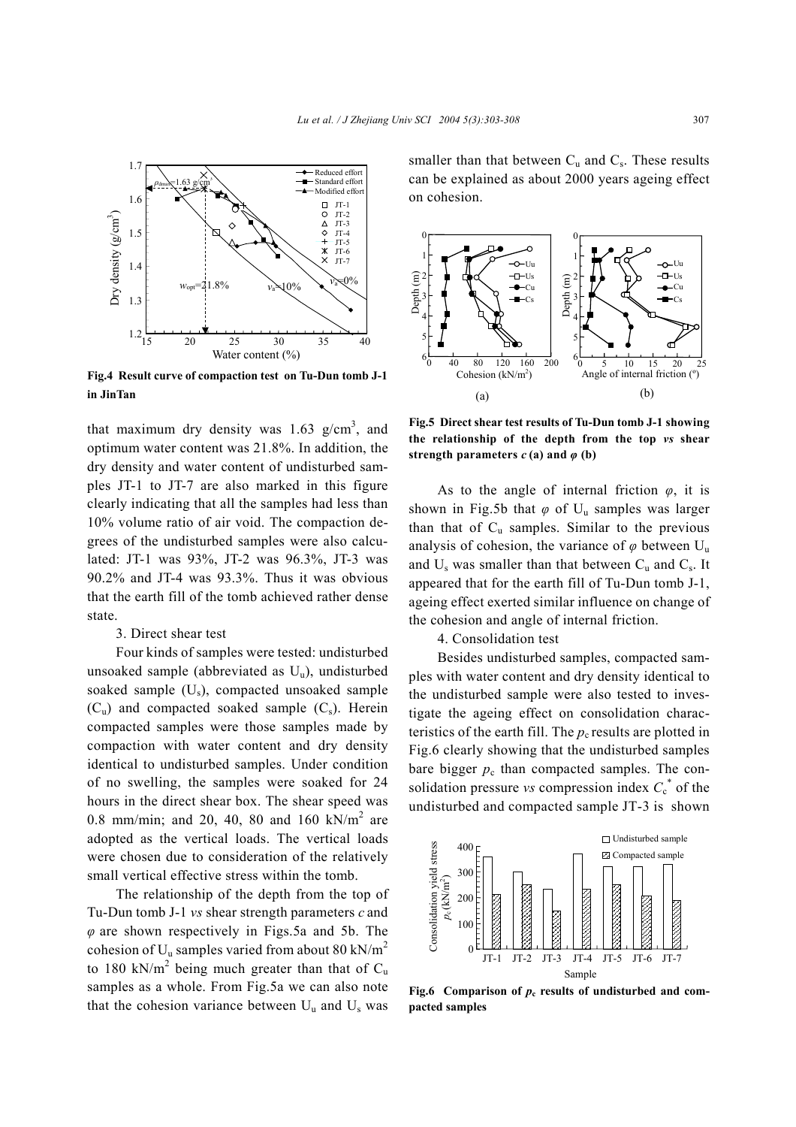

**Fig.4 Result curve of compaction test on Tu-Dun tomb J-1 in JinTan**

that maximum dry density was  $1.63$  g/cm<sup>3</sup>, and optimum water content was 21.8%. In addition, the dry density and water content of undisturbed samples JT-1 to JT-7 are also marked in this figure clearly indicating that all the samples had less than 10% volume ratio of air void. The compaction degrees of the undisturbed samples were also calculated: JT-1 was 93%, JT-2 was 96.3%, JT-3 was 90.2% and JT-4 was 93.3%. Thus it was obvious that the earth fill of the tomb achieved rather dense state.

#### 3. Direct shear test

Four kinds of samples were tested: undisturbed unsoaked sample (abbreviated as  $U_{\text{u}}$ ), undisturbed soaked sample  $(U_s)$ , compacted unsoaked sample  $(C_u)$  and compacted soaked sample  $(C_s)$ . Herein compacted samples were those samples made by compaction with water content and dry density identical to undisturbed samples. Under condition of no swelling, the samples were soaked for 24 hours in the direct shear box. The shear speed was 0.8 mm/min; and 20, 40, 80 and 160 kN/m<sup>2</sup> are adopted as the vertical loads. The vertical loads were chosen due to consideration of the relatively small vertical effective stress within the tomb.

The relationship of the depth from the top of Tu-Dun tomb J-1 *vs* shear strength parameters *c* and *φ* are shown respectively in Figs.5a and 5b. The cohesion of  $U_u$  samples varied from about 80 kN/m<sup>2</sup> to 180 kN/m<sup>2</sup> being much greater than that of  $C_u$ samples as a whole. From Fig.5a we can also note that the cohesion variance between  $U_u$  and  $U_s$  was

smaller than that between  $C_u$  and  $C_s$ . These results can be explained as about 2000 years ageing effect on cohesion.



**Fig.5 Direct shear test results of Tu-Dun tomb J-1 showing the relationship of the depth from the top** *vs* **shear strength parameters**  $c$  (a) and  $\varphi$  (b)

As to the angle of internal friction *φ*, it is shown in Fig.5b that  $\varphi$  of U<sub>u</sub> samples was larger than that of  $C_u$  samples. Similar to the previous analysis of cohesion, the variance of  $\varphi$  between U<sub>u</sub> and  $U_s$  was smaller than that between  $C_u$  and  $C_s$ . It appeared that for the earth fill of Tu-Dun tomb J-1, ageing effect exerted similar influence on change of the cohesion and angle of internal friction.

4. Consolidation test

Besides undisturbed samples, compacted samples with water content and dry density identical to the undisturbed sample were also tested to investigate the ageing effect on consolidation characteristics of the earth fill. The  $p_c$  results are plotted in Fig.6 clearly showing that the undisturbed samples bare bigger  $p_c$  than compacted samples. The consolidation pressure *vs* compression index  $C_c^*$  of the undisturbed and compacted sample JT-3 is shown



**Fig.6** Comparison of  $p_c$  results of undisturbed and com**pacted samples**